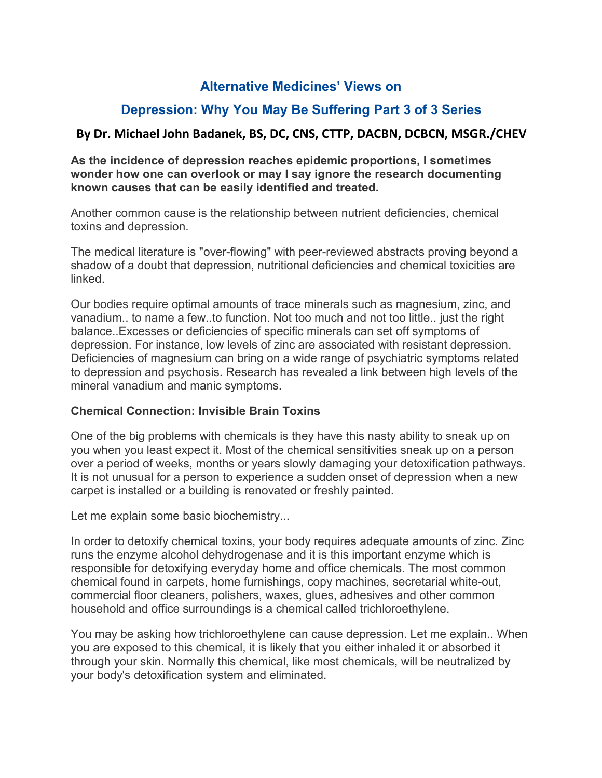## **Alternative Medicines' Views on**

## **Depression: Why You May Be Suffering Part 3 of 3 Series**

## **By Dr. Michael John Badanek, BS, DC, CNS, CTTP, DACBN, DCBCN, MSGR./CHEV**

**As the incidence of depression reaches epidemic proportions, I sometimes wonder how one can overlook or may I say ignore the research documenting known causes that can be easily identified and treated.**

Another common cause is the relationship between nutrient deficiencies, chemical toxins and depression.

The medical literature is "over-flowing" with peer-reviewed abstracts proving beyond a shadow of a doubt that depression, nutritional deficiencies and chemical toxicities are linked.

Our bodies require optimal amounts of trace minerals such as magnesium, zinc, and vanadium.. to name a few..to function. Not too much and not too little.. just the right balance..Excesses or deficiencies of specific minerals can set off symptoms of depression. For instance, low levels of zinc are associated with resistant depression. Deficiencies of magnesium can bring on a wide range of psychiatric symptoms related to depression and psychosis. Research has revealed a link between high levels of the mineral vanadium and manic symptoms.

## **Chemical Connection: Invisible Brain Toxins**

One of the big problems with chemicals is they have this nasty ability to sneak up on you when you least expect it. Most of the chemical sensitivities sneak up on a person over a period of weeks, months or years slowly damaging your detoxification pathways. It is not unusual for a person to experience a sudden onset of depression when a new carpet is installed or a building is renovated or freshly painted.

Let me explain some basic biochemistry...

In order to detoxify chemical toxins, your body requires adequate amounts of zinc. Zinc runs the enzyme alcohol dehydrogenase and it is this important enzyme which is responsible for detoxifying everyday home and office chemicals. The most common chemical found in carpets, home furnishings, copy machines, secretarial white-out, commercial floor cleaners, polishers, waxes, glues, adhesives and other common household and office surroundings is a chemical called trichloroethylene.

You may be asking how trichloroethylene can cause depression. Let me explain.. When you are exposed to this chemical, it is likely that you either inhaled it or absorbed it through your skin. Normally this chemical, like most chemicals, will be neutralized by your body's detoxification system and eliminated.